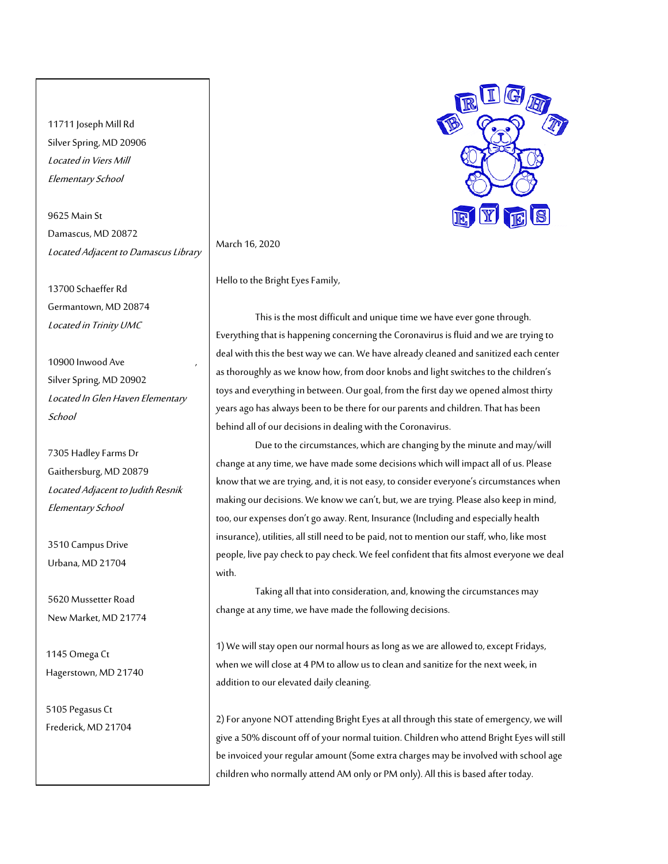11711 Joseph Mill Rd Silver Spring, MD 20906 Located in Viers Mill Elementary School

9625 Main St Damascus, MD 20872 Located Adjacent to Damascus Library

13700 Schaeffer Rd Germantown, MD 20874 Located in Trinity UMC

10900 Inwood Ave , Silver Spring, MD 20902 Located In Glen Haven Elementary **School** 

7305 Hadley Farms Dr Gaithersburg, MD 20879 Located Adjacent to Judith Resnik Elementary School

3510 Campus Drive Urbana, MD 21704

5620 Mussetter Road New Market, MD 21774

 1145 Omega Ct Hagerstown, MD 21740

 5105 Pegasus Ct Frederick, MD 21704



## March 16, 2020

Hello to the Bright Eyes Family,

This is the most difficult and unique time we have ever gone through. Everything that is happening concerning the Coronavirus is fluid and we are trying to deal with this the best way we can. We have already cleaned and sanitized each center as thoroughly as we know how, from door knobs and light switches to the children's toys and everything in between. Our goal, from the first day we opened almost thirty years ago has always been to be there for our parents and children. That has been behind all of our decisions in dealing with the Coronavirus.

Due to the circumstances, which are changing by the minute and may/will change at any time, we have made some decisions which will impact all of us. Please know that we are trying, and, it is not easy, to consider everyone's circumstances when making our decisions. We know we can't, but, we are trying. Please also keep in mind, too, our expenses don't go away. Rent, Insurance (Including and especially health insurance), utilities, all still need to be paid, not to mention our staff, who, like most people, live paycheck to pay check. We feel confident that fits almost everyone we deal with.

Taking all that into consideration, and, knowing the circumstances may change at any time, we have made the following decisions.

1) We will stay open our normal hours as long as we are allowed to, except Fridays, when we will close at 4 PM to allow us to clean and sanitize for the next week, in addition to our elevated daily cleaning.

2) For anyone NOT attending Bright Eyes at all through this state of emergency, we will give a 50% discount off of your normal tuition. Children who attend Bright Eyes will still be invoiced your regular amount (Some extra charges may be involved with school age children who normally attend AM only or PM only). All this is based after today.